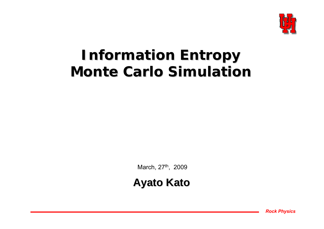

## **Information Entropy Information Entropy Monte Carlo Simulation**

March, 27<sup>th</sup>, 2009

**Ayato Kato Ayato Kato**

*Rock Physics*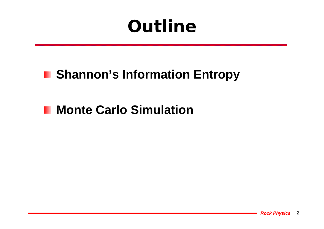# **Outline**

### **F** Shannon's Information Entropy

### **Monte Carlo Simulation**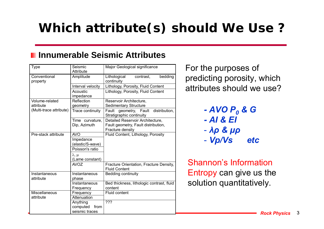### **Which attribute(s) should We Use ?**

#### **Innumerable Seismic Attributes**

| <b>Type</b>                | Seismic<br>Attribute              | Major Geological significance                                                               |  |
|----------------------------|-----------------------------------|---------------------------------------------------------------------------------------------|--|
| Conventional<br>property   | Amplitude                         | bedding<br>Lithological<br>contrast,<br>continuity                                          |  |
|                            | Interval velocity                 | Lithology, Porosity, Fluid Content                                                          |  |
|                            | Acoustic<br>impedance             | Lithology, Porosity, Fluid Content                                                          |  |
| Volume-related             | Reflection                        | Reservoir Architecture,                                                                     |  |
| attribute                  | geometry                          | <b>Sedimentary Structure</b>                                                                |  |
| (Multi-trace attribute)    | Trace continuity                  | Fault geometry, Fault<br>distribution,<br>Stratigraphic continuity                          |  |
|                            | Time curvature,<br>Dip, Azimuth   | Detailed Reservoir Architecture,<br>Fault geometry, Fault distribution,<br>Fracture density |  |
| Pre-stack attribute        | <b>AVO</b>                        | Fluid Content, Lithology, Porosity                                                          |  |
|                            | Impedance<br>(elastic/S-wave)     |                                                                                             |  |
|                            | Poisson's ratio                   |                                                                                             |  |
|                            | $\lambda, \mu$<br>(Lame constant) |                                                                                             |  |
|                            | <b>AVOZ</b>                       | Fracture Orientation, Fracture Density,<br><b>Fluid Content</b>                             |  |
| Instantaneous<br>attribute | Instantaneous<br>phase            | <b>Bedding continuity</b>                                                                   |  |
|                            | Instantaneous<br>Frequency        | Bed thickness, lithologic contrast, fluid<br>content                                        |  |
| <b>Miscellaneous</b>       | Frequency                         | <b>Fluid content</b>                                                                        |  |
| attribute                  | Attenuation                       |                                                                                             |  |
|                            | Anything<br>computed<br>from      | ???                                                                                         |  |
|                            | seismic traces                    |                                                                                             |  |

For the purposes of predicting porosity, which attributes should we use?

- *- AVO P 0 & G - AI & EI*
- *λρ & μρ*
- -*Vp/Vs etc*

Shannon's Information Entropy can give us the solution quantitatively.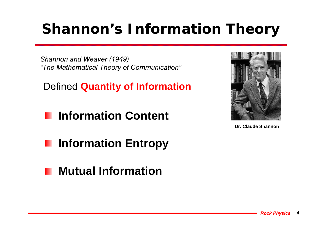# **Shannon's Information Theory**

*Shannon and Weaver (1949) "The Mathematical Theory of Communication"*

Defined **Quantity of Information**

**Information Content**



**Dr. Claude Shannon**

- **Information Entropy**
- **Mutual Information**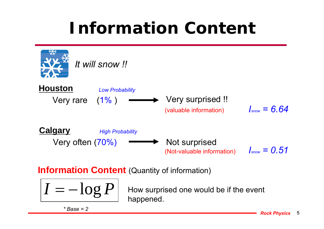# **Information Content**



**Information Content** (Quantity of information)

$$
I=-\log P
$$

How surprised one would be if the event happened.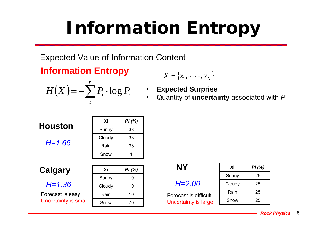# **Information Entropy**

Expected Value of Information Content

**Information Entropy** 

$$
H(X) = -\sum_{i}^{n} P_{i} \cdot \log P_{i}
$$

$$
X = \{x_1, \dots, x_N\}
$$

• **Expected Surprise** •Quantity of **uncertainty** associated with *P*

| Houston |  |
|---------|--|
|         |  |

$$
H=1.65
$$

| Хi     | Pi (%) |
|--------|--------|
| Sunny  | 33     |
| Cloudy | 33     |
| Rain   | 33     |
| Snow   |        |

**Calgary**

#### *H=1.36*

Forecast is easy Uncertainty is small

| <u>y</u>   | Xi     | Pi(%) |                       |
|------------|--------|-------|-----------------------|
|            | Sunny  | 10    |                       |
| 6          | Cloudy | 10    | $H = 2.00$            |
| easy       | Rain   | 10    | Forecast is dif       |
| v is small | Snow   | 70    | <b>Uncertainty is</b> |

| NY                    |
|-----------------------|
| $H = 2.00$            |
| Forecast is difficult |

Uncertainty is large

Snow 25 Rain 25 Cloudy 25 Sunny | 25 **Xi***Pi (%)*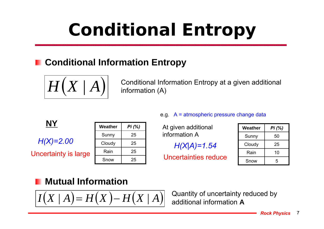# **Conditional Entropy**

#### **Conditional Information Entropy**



Conditional Information Entropy at a given additional information (A)

|                      | <b>Weathe</b> |
|----------------------|---------------|
|                      | Sunny         |
| $H(X)=2.00$          | Cloudy        |
| Uncertainty is large | Rain          |
|                      |               |

| Weather | Pi (%) |
|---------|--------|
| Sunny   | 25     |
| Cloudy  | 25     |
| Rain    | 25     |
| Snow    | 25     |

#### e.g. A = atmospheric pressure change data

At given additional information A

*H(X|A)=1.54*

Uncertainties reduce

| Weather | Pi (%) |
|---------|--------|
| Sunny   | 50     |
| Cloudy  | 25     |
| Rain    | 10     |
| Snow    | 5      |

#### **Mutual Information**

$$
I(X \mid A) = H(X) - H(X \mid A)
$$

Quantity of uncertainty reduced by additional information **A**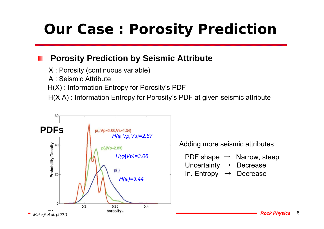### **Our Case : Porosity Prediction**

#### **Porosity Prediction by Seismic Attribute**

X : Porosity (continuous variable)

A : Seismic Attribute

H(X) : Information Entropy for Porosity's PDF

H(X|A) : Information Entropy for Porosity's PDF at given seismic attribute



Adding more seismic attributes

PDF shape  $\rightarrow$  Narrow, steep Uncertainty  $\rightarrow$  Decrease In. Entropy → Decrease

> *Rock Physics* 8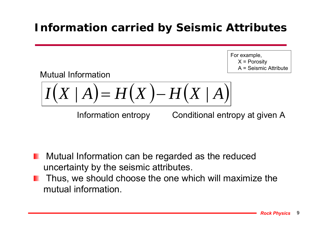### **Information carried by Seismic Attributes**

For example,  $X =$  Porosity A = Seismic Attribute

Mutual Information

$$
I(X \mid A) = H(X) - H(X \mid A)
$$

Information entropy

Conditional entropy at given A

- **Mutual Information can be regarded as the reduced** uncertainty by the seismic attributes.
- Thus, we should choose the one which will maximize the mutual information.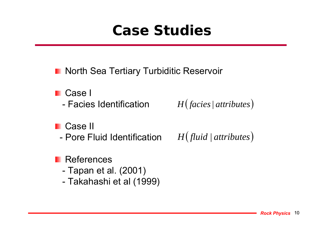## **Case Studies**

**North Sea Tertiary Turbiditic Reservoir** 

- **Case I** 
	- Facies Identification
- **Case II** 
	- Pore Fluid Identification  $H\left( \mathit{fluid}\ |\ attributes\right)$

*H*(*facies* | *attributes*)

- **References** 
	- -Tapan et al. (2001)
	- -Takahashi et al (1999)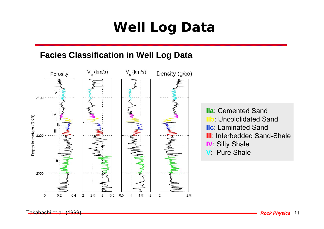### **Well Log Data**

#### **Facies Classification in Well Log Data**



**IIa**: Cemented Sand **IIb**: Uncololidated Sand **IIc**: Laminated Sand **III**: Interbedded Sand-Shale **IV** Silty Shale **V**: Pure Shale

Takahashi et al. (1999)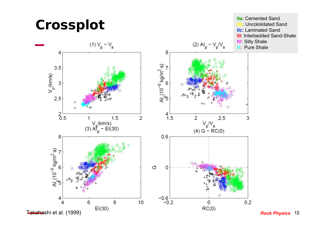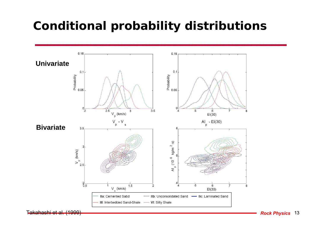### **Conditional probability distributions**



Takahashi et al. (1999)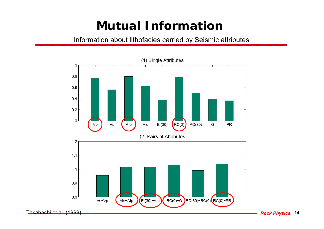### **Mutual Information**

Information about lithofacies carried by Seismic attributes



*Rock Physics* 14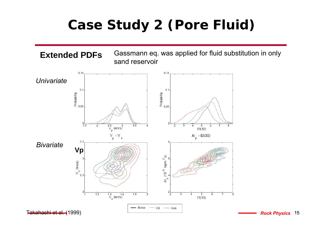### **Case Study 2 (Pore Fluid)**

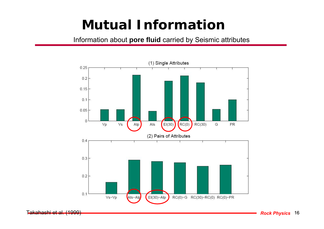### **Mutual Information**

Information about **pore fluid** carried by Seismic attributes



Takahashi et al. (1999)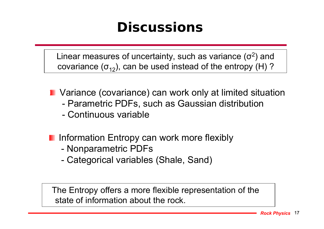### **Discussions**

Linear measures of uncertainty, such as variance  $(\sigma^2)$  and covariance  $(\sigma_{12})$ , can be used instead of the entropy (H)?

- **I** Variance (covariance) can work only at limited situation
	- -Parametric PDFs, such as Gaussian distribution
	- Continuous variable
- **Information Entropy can work more flexibly** 
	- -Nonparametric PDFs
	- -Categorical variables (Shale, Sand)

The Entropy offers a more flexible representation of the state of information about the rock.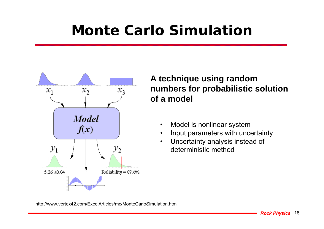## **Monte Carlo Simulation**



#### **A technique using random numbers for probabilistic solution of a model**

- $\bullet$ Model is nonlinear system
- •Input parameters with uncertainty
- $\bullet$  Uncertainty analysis instead of deterministic method

http://www.vertex42.com/ExcelArticles/mc/MonteCarloSimulation.html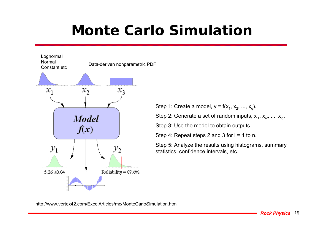## **Monte Carlo Simulation**



Step 1: Create a model,  $y = f(x_1, x_2, ..., x_q)$ .

Step 2: Generate a set of random inputs,  $x_{i1}$ ,  $x_{i2}$ , ...,  $x_{iq}$ .

Step 3: Use the model to obtain outputs.

Step 4: Repeat steps 2 and 3 for  $i = 1$  to n.

Step 5: Analyze the results using histograms, summary statistics, confidence intervals, etc.

http://www.vertex42.com/ExcelArticles/mc/MonteCarloSimulation.html